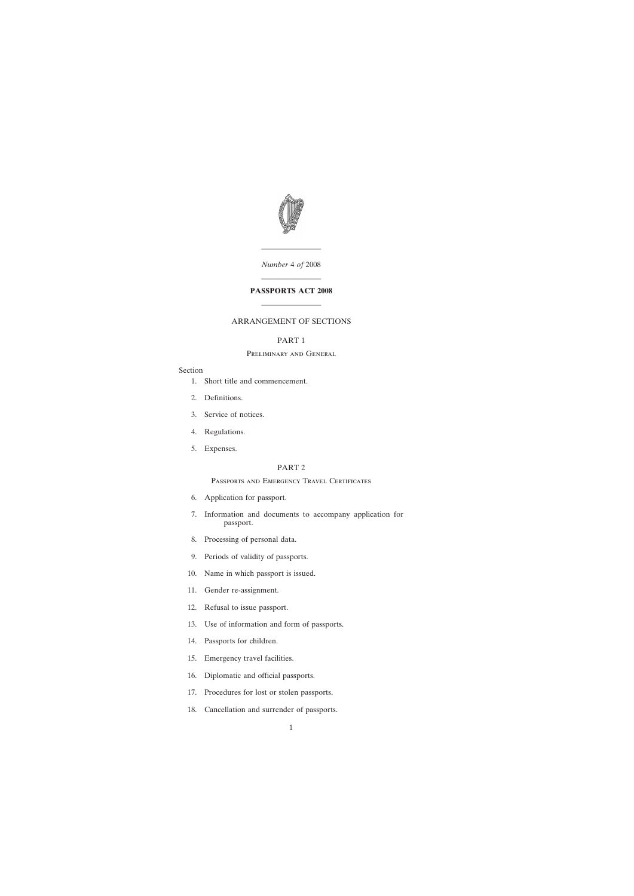

———————— *Number* 4 *of* 2008

# ———————— **PASSPORTS ACT 2008** ————————

# ARRANGEMENT OF SECTIONS

# PART 1

# Preliminary and General

## Section

- [1. Short title and commencement.](#page-2-0)
- [2. Definitions.](#page-2-0)
- [3. Service of notices.](#page-4-0)
- [4. Regulations.](#page-4-0)
- [5. Expenses.](#page-4-0)

# PART 2

# Passports and Emergency Travel Certificates

- [6. Application for passport.](#page-5-0)
- [7. Information and documents to accompany application for](#page-5-0) passport.
- [8. Processing of personal data.](#page-6-0)
- [9. Periods of validity of passports.](#page-6-0)
- [10. Name in which passport is issued.](#page-6-0)
- [11. Gender re-assignment.](#page-7-0)
- [12. Refusal to issue passport.](#page-7-0)
- [13. Use of information and form of passports.](#page-8-0)
- [14. Passports for children.](#page-9-0)
- [15. Emergency travel facilities.](#page-10-0)
- [16. Diplomatic and official passports.](#page-11-0)
- [17. Procedures for lost or stolen passports.](#page-12-0)
- [18. Cancellation and surrender of passports.](#page-12-0)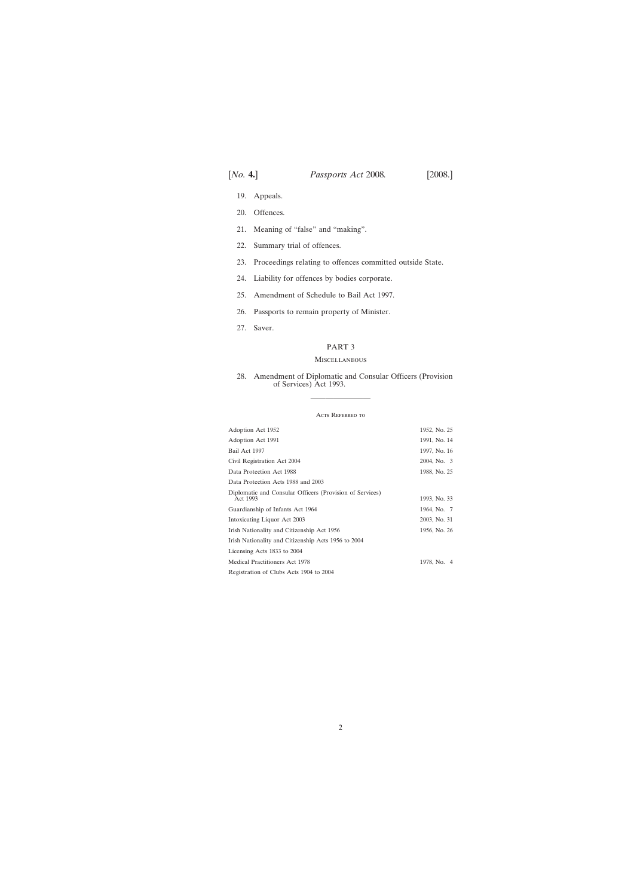- [19. Appeals.](#page-13-0)
- [20. Offences.](#page-14-0)
- [21. Meaning of "false" and "making".](#page-16-0)
- [22. Summary trial of offences.](#page-16-0)
- [23. Proceedings relating to offences committed outside State.](#page-17-0)
- [24. Liability for offences by bodies corporate.](#page-17-0)
- [25. Amendment of Schedule to Bail Act 1997.](#page-17-0)
- [26. Passports to remain property of Minister.](#page-17-0)
- [27. Saver.](#page-17-0)

## PART 3

### Miscellaneous

# [28. Amendment of Diplomatic and Consular Officers \(Provision](#page-18-0) of Services) Act 1993.

#### ACTS REFERRED TO

————————

| Adoption Act 1952                                                    | 1952, No. 25 |
|----------------------------------------------------------------------|--------------|
| Adoption Act 1991                                                    | 1991, No. 14 |
| Bail Act 1997                                                        | 1997, No. 16 |
| Civil Registration Act 2004                                          | 2004, No. 3  |
| Data Protection Act 1988                                             | 1988, No. 25 |
| Data Protection Acts 1988 and 2003                                   |              |
| Diplomatic and Consular Officers (Provision of Services)<br>Act 1993 | 1993, No. 33 |
| Guardianship of Infants Act 1964                                     | 1964, No. 7  |
| Intoxicating Liquor Act 2003                                         | 2003, No. 31 |
| Irish Nationality and Citizenship Act 1956                           | 1956, No. 26 |
| Irish Nationality and Citizenship Acts 1956 to 2004                  |              |
| Licensing Acts 1833 to 2004                                          |              |
| Medical Practitioners Act 1978                                       | 1978, No. 4  |
| Registration of Clubs Acts 1904 to 2004                              |              |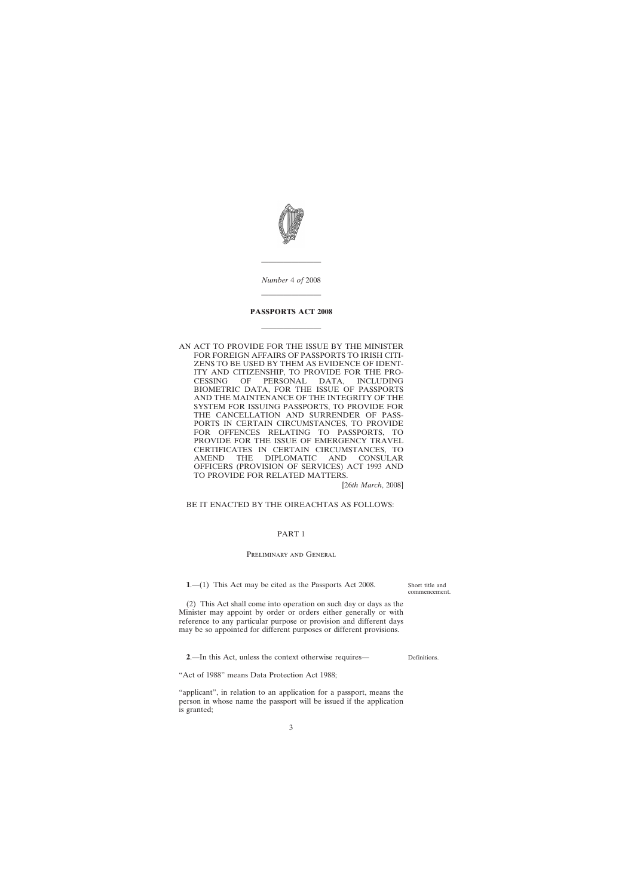<span id="page-2-0"></span>

*Number* 4 *of* 2008

————————

————————

# **PASSPORTS ACT 2008**

————————

AN ACT TO PROVIDE FOR THE ISSUE BY THE MINISTER FOR FOREIGN AFFAIRS OF PASSPORTS TO IRISH CITI-ZENS TO BE USED BY THEM AS EVIDENCE OF IDENT-ITY AND CITIZENSHIP, TO PROVIDE FOR THE PRO-CESSING OF PERSONAL DATA, INCLUDING BIOMETRIC DATA, FOR THE ISSUE OF PASSPORTS AND THE MAINTENANCE OF THE INTEGRITY OF THE SYSTEM FOR ISSUING PASSPORTS, TO PROVIDE FOR THE CANCELLATION AND SURRENDER OF PASS-PORTS IN CERTAIN CIRCUMSTANCES, TO PROVIDE FOR OFFENCES RELATING TO PASSPORTS, TO PROVIDE FOR THE ISSUE OF EMERGENCY TRAVEL CERTIFICATES IN CERTAIN CIRCUMSTANCES, TO AMEND THE DIPLOMATIC AND CONSULAR OFFICERS (PROVISION OF SERVICES) ACT 1993 AND TO PROVIDE FOR RELATED MATTERS.

[26*th March*, 2008]

### BE IT ENACTED BY THE OIREACHTAS AS FOLLOWS:

# PART 1

## Preliminary and General

**1**.—(1) This Act may be cited as the Passports Act 2008.

Short title and commencement.

(2) This Act shall come into operation on such day or days as the Minister may appoint by order or orders either generally or with reference to any particular purpose or provision and different days may be so appointed for different purposes or different provisions.

**2**.—In this Act, unless the context otherwise requires—

Definitions.

"Act of 1988" means Data Protection Act 1988;

"applicant", in relation to an application for a passport, means the person in whose name the passport will be issued if the application is granted;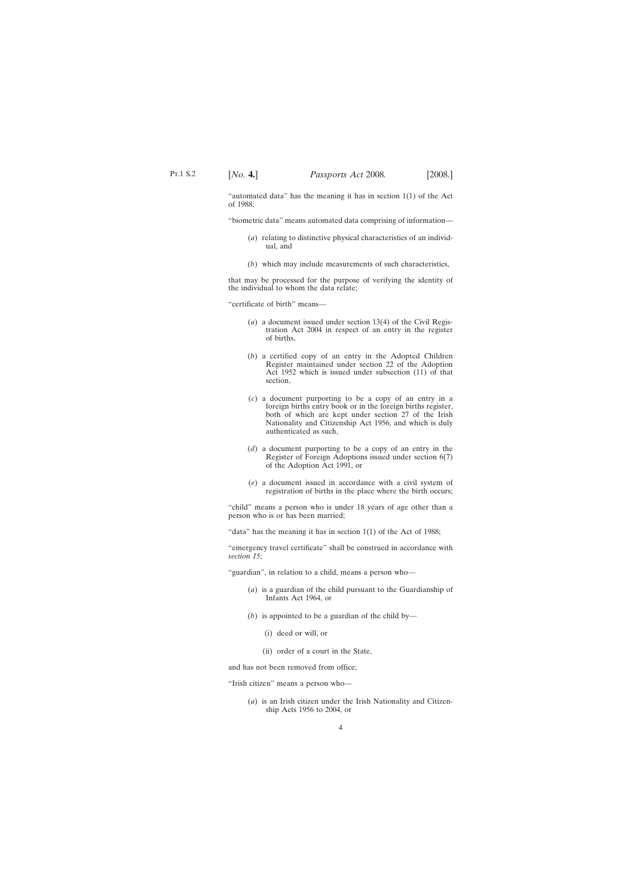"automated data" has the meaning it has in section  $1(1)$  of the Act of 1988;

"biometric data" means automated data comprising of information—

- (*a*) relating to distinctive physical characteristics of an individual, and
- (*b*) which may include measurements of such characteristics,

that may be processed for the purpose of verifying the identity of the individual to whom the data relate;

"certificate of birth" means—

- (*a*) a document issued under section 13(4) of the Civil Registration Act 2004 in respect of an entry in the register of births,
- (*b*) a certified copy of an entry in the Adopted Children Register maintained under section 22 of the Adoption Act 1952 which is issued under subsection (11) of that section,
- (*c*) a document purporting to be a copy of an entry in a foreign births entry book or in the foreign births register, both of which are kept under section 27 of the Irish Nationality and Citizenship Act 1956, and which is duly authenticated as such,
- (*d*) a document purporting to be a copy of an entry in the Register of Foreign Adoptions issued under section 6(7) of the Adoption Act 1991, or
- (*e*) a document issued in accordance with a civil system of registration of births in the place where the birth occurs;

"child" means a person who is under 18 years of age other than a person who is or has been married;

"data" has the meaning it has in section 1(1) of the Act of 1988;

"emergency travel certificate" shall be construed in accordance with *section 15*;

"guardian", in relation to a child, means a person who—

- (*a*) is a guardian of the child pursuant to the Guardianship of Infants Act 1964, or
- (*b*) is appointed to be a guardian of the child by—
	- (i) deed or will, or
	- (ii) order of a court in the State,

and has not been removed from office;

"Irish citizen" means a person who—

(*a*) is an Irish citizen under the Irish Nationality and Citizenship Acts 1956 to 2004, or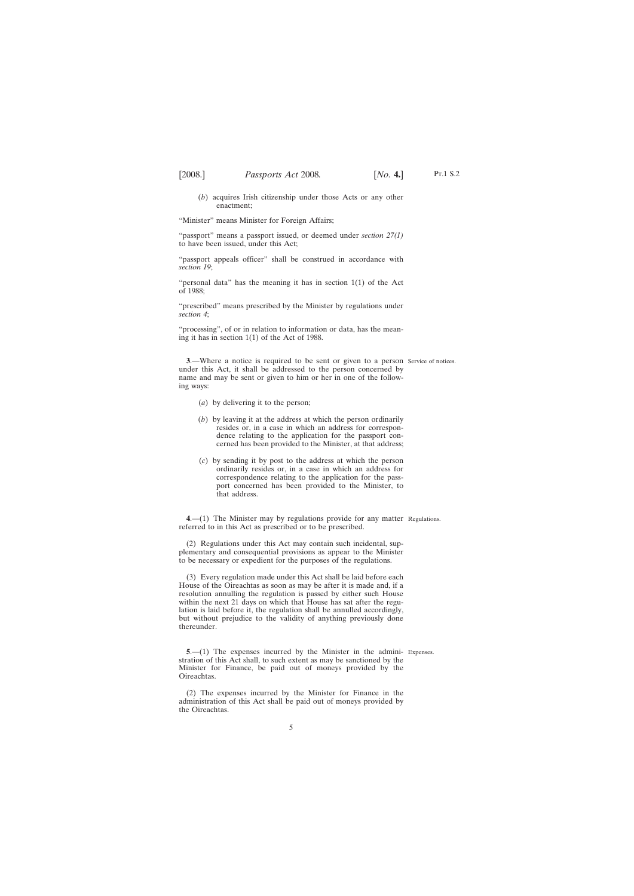<span id="page-4-0"></span>(*b*) acquires Irish citizenship under those Acts or any other enactment;

"Minister" means Minister for Foreign Affairs;

"passport" means a passport issued, or deemed under *section 27(1)* to have been issued, under this Act;

"passport appeals officer" shall be construed in accordance with *section 19*;

"personal data" has the meaning it has in section 1(1) of the Act of 1988;

"prescribed" means prescribed by the Minister by regulations under *section 4*;

"processing", of or in relation to information or data, has the meaning it has in section 1(1) of the Act of 1988.

**3.**—Where a notice is required to be sent or given to a person Service of notices. under this Act, it shall be addressed to the person concerned by name and may be sent or given to him or her in one of the following ways:

- (*a*) by delivering it to the person;
- (*b*) by leaving it at the address at which the person ordinarily resides or, in a case in which an address for correspondence relating to the application for the passport concerned has been provided to the Minister, at that address;
- (*c*) by sending it by post to the address at which the person ordinarily resides or, in a case in which an address for correspondence relating to the application for the passport concerned has been provided to the Minister, to that address.

**4**.—(1) The Minister may by regulations provide for any matter Regulations. referred to in this Act as prescribed or to be prescribed.

(2) Regulations under this Act may contain such incidental, supplementary and consequential provisions as appear to the Minister to be necessary or expedient for the purposes of the regulations.

(3) Every regulation made under this Act shall be laid before each House of the Oireachtas as soon as may be after it is made and, if a resolution annulling the regulation is passed by either such House within the next 21 days on which that House has sat after the regulation is laid before it, the regulation shall be annulled accordingly, but without prejudice to the validity of anything previously done thereunder.

**5.**—(1) The expenses incurred by the Minister in the admini- Expenses.

stration of this Act shall, to such extent as may be sanctioned by the Minister for Finance, be paid out of moneys provided by the Oireachtas.

(2) The expenses incurred by the Minister for Finance in the administration of this Act shall be paid out of moneys provided by the Oireachtas.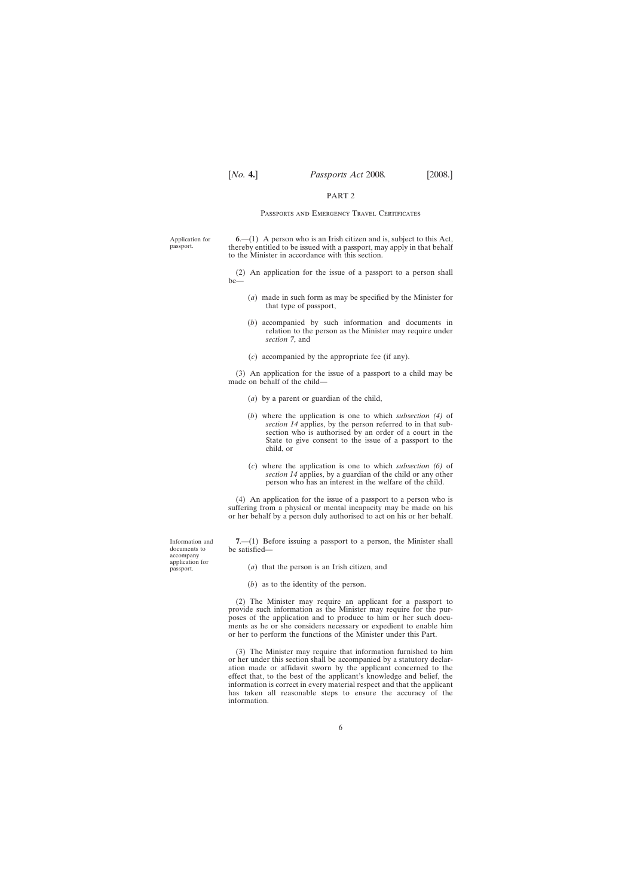### PART 2

### Passports and Emergency Travel Certificates

<span id="page-5-0"></span>Application for passport. **6**.—(1) A person who is an Irish citizen and is, subject to this Act, thereby entitled to be issued with a passport, may apply in that behalf to the Minister in accordance with this section.

> (2) An application for the issue of a passport to a person shall be—

- (*a*) made in such form as may be specified by the Minister for that type of passport,
- (*b*) accompanied by such information and documents in relation to the person as the Minister may require under *section 7*, and
- (*c*) accompanied by the appropriate fee (if any).

(3) An application for the issue of a passport to a child may be made on behalf of the child—

- (*a*) by a parent or guardian of the child,
- (*b*) where the application is one to which *subsection (4)* of *section 14* applies, by the person referred to in that subsection who is authorised by an order of a court in the State to give consent to the issue of a passport to the child, or
- (*c*) where the application is one to which *subsection (6)* of *section 14* applies, by a guardian of the child or any other person who has an interest in the welfare of the child.

(4) An application for the issue of a passport to a person who is suffering from a physical or mental incapacity may be made on his or her behalf by a person duly authorised to act on his or her behalf.

**7**.—(1) Before issuing a passport to a person, the Minister shall be satisfied—

(*a*) that the person is an Irish citizen, and

(*b*) as to the identity of the person.

(2) The Minister may require an applicant for a passport to provide such information as the Minister may require for the purposes of the application and to produce to him or her such documents as he or she considers necessary or expedient to enable him or her to perform the functions of the Minister under this Part.

(3) The Minister may require that information furnished to him or her under this section shall be accompanied by a statutory declaration made or affidavit sworn by the applicant concerned to the effect that, to the best of the applicant's knowledge and belief, the information is correct in every material respect and that the applicant has taken all reasonable steps to ensure the accuracy of the information.

Information and documents to accompany application for passport.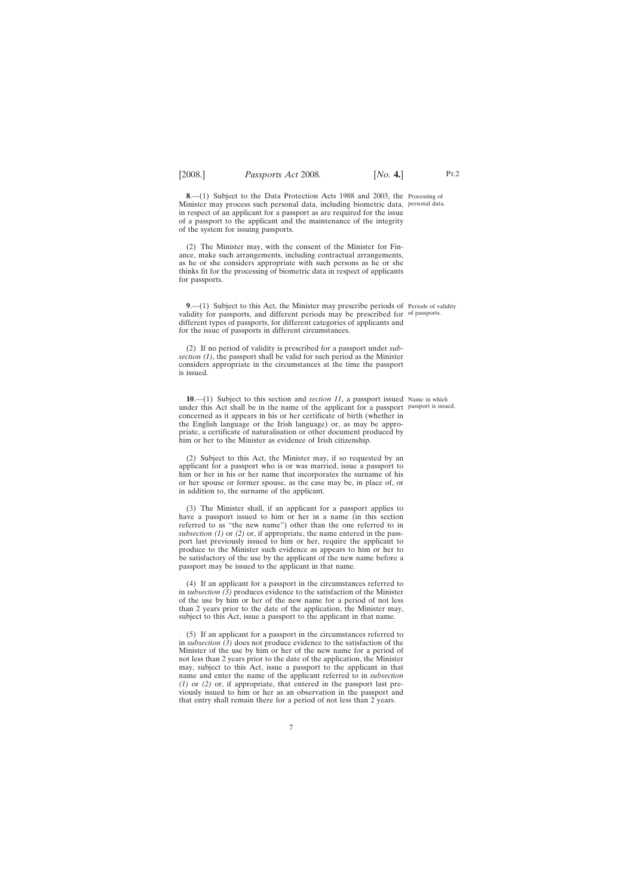<span id="page-6-0"></span>**8**.—(1) Subject to the Data Protection Acts 1988 and 2003, the Processing of Minister may process such personal data, including biometric data, personal data. in respect of an applicant for a passport as are required for the issue of a passport to the applicant and the maintenance of the integrity of the system for issuing passports.

(2) The Minister may, with the consent of the Minister for Finance, make such arrangements, including contractual arrangements, as he or she considers appropriate with such persons as he or she thinks fit for the processing of biometric data in respect of applicants for passports.

**9.** (1) Subject to this Act, the Minister may prescribe periods of Periods of validity validity for passports, and different periods may be prescribed for of passports. different types of passports, for different categories of applicants and for the issue of passports in different circumstances.

(2) If no period of validity is prescribed for a passport under *subsection (1)*, the passport shall be valid for such period as the Minister considers appropriate in the circumstances at the time the passport is issued.

**10**.—(1) Subject to this section and *section 11*, a passport issued Name in which under this Act shall be in the name of the applicant for a passport passport is issued. concerned as it appears in his or her certificate of birth (whether in the English language or the Irish language) or, as may be appropriate, a certificate of naturalisation or other document produced by him or her to the Minister as evidence of Irish citizenship.

(2) Subject to this Act, the Minister may, if so requested by an applicant for a passport who is or was married, issue a passport to him or her in his or her name that incorporates the surname of his or her spouse or former spouse, as the case may be, in place of, or in addition to, the surname of the applicant.

(3) The Minister shall, if an applicant for a passport applies to have a passport issued to him or her in a name (in this section referred to as "the new name") other than the one referred to in *subsection (1)* or *(2)* or, if appropriate, the name entered in the passport last previously issued to him or her, require the applicant to produce to the Minister such evidence as appears to him or her to be satisfactory of the use by the applicant of the new name before a passport may be issued to the applicant in that name.

(4) If an applicant for a passport in the circumstances referred to in *subsection (3)* produces evidence to the satisfaction of the Minister of the use by him or her of the new name for a period of not less than 2 years prior to the date of the application, the Minister may, subject to this Act, issue a passport to the applicant in that name.

(5) If an applicant for a passport in the circumstances referred to in *subsection (3)* does not produce evidence to the satisfaction of the Minister of the use by him or her of the new name for a period of not less than 2 years prior to the date of the application, the Minister may, subject to this Act, issue a passport to the applicant in that name and enter the name of the applicant referred to in *subsection (1)* or *(2)* or, if appropriate, that entered in the passport last previously issued to him or her as an observation in the passport and that entry shall remain there for a period of not less than 2 years.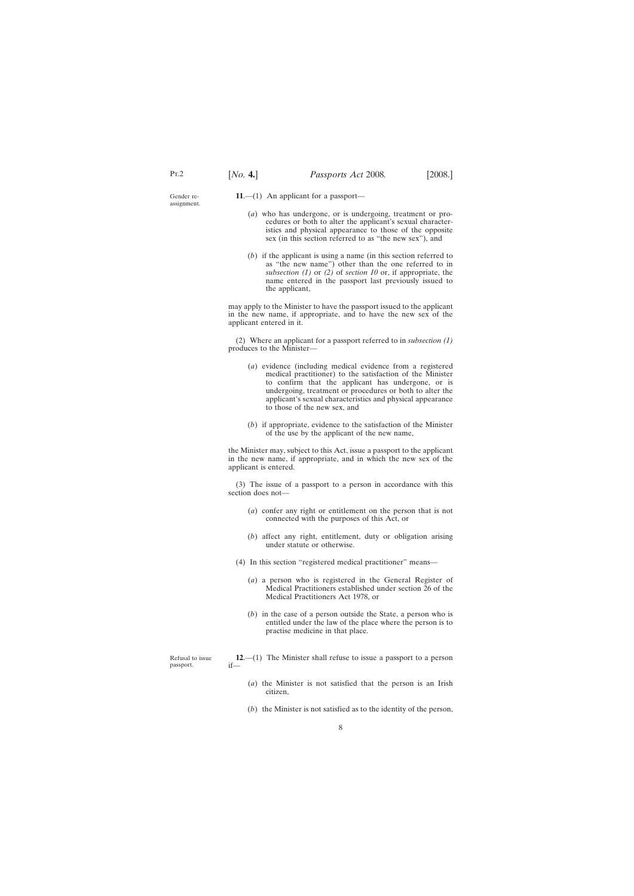<span id="page-7-0"></span>Gender reassignment.

- **11**.—(1) An applicant for a passport—
	- (*a*) who has undergone, or is undergoing, treatment or procedures or both to alter the applicant's sexual characteristics and physical appearance to those of the opposite sex (in this section referred to as "the new sex"), and
	- (*b*) if the applicant is using a name (in this section referred to as "the new name") other than the one referred to in *subsection (1)* or *(2)* of *section 10* or, if appropriate, the name entered in the passport last previously issued to the applicant,

may apply to the Minister to have the passport issued to the applicant in the new name, if appropriate, and to have the new sex of the applicant entered in it.

(2) Where an applicant for a passport referred to in *subsection (1)* produces to the Minister—

- (*a*) evidence (including medical evidence from a registered medical practitioner) to the satisfaction of the Minister to confirm that the applicant has undergone, or is undergoing, treatment or procedures or both to alter the applicant's sexual characteristics and physical appearance to those of the new sex, and
- (*b*) if appropriate, evidence to the satisfaction of the Minister of the use by the applicant of the new name,

the Minister may, subject to this Act, issue a passport to the applicant in the new name, if appropriate, and in which the new sex of the applicant is entered.

(3) The issue of a passport to a person in accordance with this section does not—

- (*a*) confer any right or entitlement on the person that is not connected with the purposes of this Act, or
- (*b*) affect any right, entitlement, duty or obligation arising under statute or otherwise.
- (4) In this section "registered medical practitioner" means—
	- (*a*) a person who is registered in the General Register of Medical Practitioners established under section 26 of the Medical Practitioners Act 1978, or
	- (*b*) in the case of a person outside the State, a person who is entitled under the law of the place where the person is to practise medicine in that place.

**12**.—(1) The Minister shall refuse to issue a passport to a person if—

- (*a*) the Minister is not satisfied that the person is an Irish citizen,
- (*b*) the Minister is not satisfied as to the identity of the person,

8

Refusal to issue passport.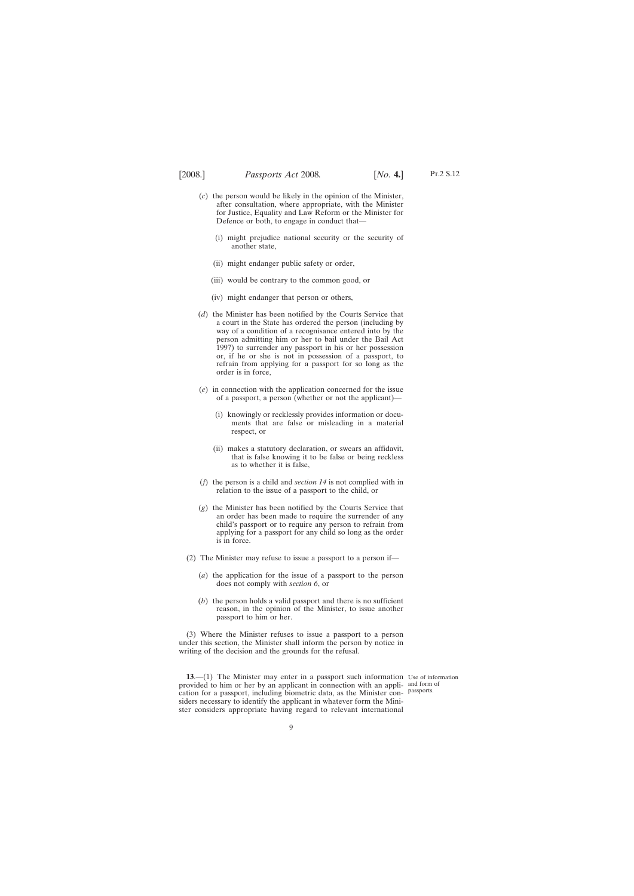<span id="page-8-0"></span>

- Pt.2 S.12
- (*c*) the person would be likely in the opinion of the Minister, after consultation, where appropriate, with the Minister for Justice, Equality and Law Reform or the Minister for Defence or both, to engage in conduct that—
	- (i) might prejudice national security or the security of another state,
	- (ii) might endanger public safety or order,
	- (iii) would be contrary to the common good, or
	- (iv) might endanger that person or others,
- (*d*) the Minister has been notified by the Courts Service that a court in the State has ordered the person (including by way of a condition of a recognisance entered into by the person admitting him or her to bail under the Bail Act 1997) to surrender any passport in his or her possession or, if he or she is not in possession of a passport, to refrain from applying for a passport for so long as the order is in force,
- (*e*) in connection with the application concerned for the issue of a passport, a person (whether or not the applicant)—
	- (i) knowingly or recklessly provides information or documents that are false or misleading in a material respect, or
	- (ii) makes a statutory declaration, or swears an affidavit, that is false knowing it to be false or being reckless as to whether it is false,
- (*f*) the person is a child and *section 14* is not complied with in relation to the issue of a passport to the child, or
- (*g*) the Minister has been notified by the Courts Service that an order has been made to require the surrender of any child's passport or to require any person to refrain from applying for a passport for any child so long as the order is in force.
- (2) The Minister may refuse to issue a passport to a person if—
	- (*a*) the application for the issue of a passport to the person does not comply with *section 6*, or
	- (*b*) the person holds a valid passport and there is no sufficient reason, in the opinion of the Minister, to issue another passport to him or her.

(3) Where the Minister refuses to issue a passport to a person under this section, the Minister shall inform the person by notice in writing of the decision and the grounds for the refusal.

**13.**—(1) The Minister may enter in a passport such information Use of information provided to him or her by an applicant in connection with an appli-and form of cation for a passport, including biometric data, as the Minister con- passports. siders necessary to identify the applicant in whatever form the Minister considers appropriate having regard to relevant international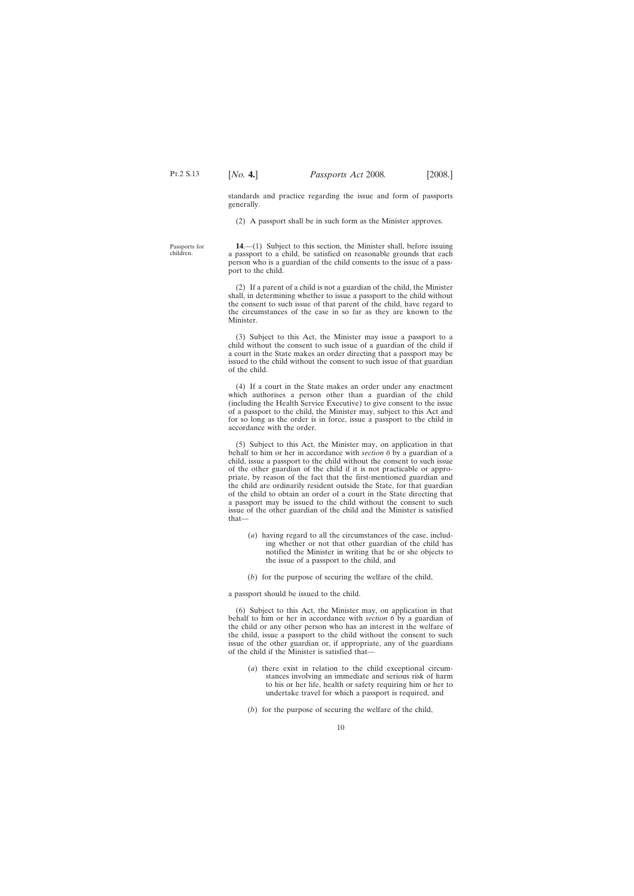standards and practice regarding the issue and form of passports generally.

(2) A passport shall be in such form as the Minister approves.

<span id="page-9-0"></span>Passports for children.

**14**.—(1) Subject to this section, the Minister shall, before issuing a passport to a child, be satisfied on reasonable grounds that each person who is a guardian of the child consents to the issue of a passport to the child.

(2) If a parent of a child is not a guardian of the child, the Minister shall, in determining whether to issue a passport to the child without the consent to such issue of that parent of the child, have regard to the circumstances of the case in so far as they are known to the Minister.

(3) Subject to this Act, the Minister may issue a passport to a child without the consent to such issue of a guardian of the child if a court in the State makes an order directing that a passport may be issued to the child without the consent to such issue of that guardian of the child.

(4) If a court in the State makes an order under any enactment which authorises a person other than a guardian of the child (including the Health Service Executive) to give consent to the issue of a passport to the child, the Minister may, subject to this Act and for so long as the order is in force, issue a passport to the child in accordance with the order.

(5) Subject to this Act, the Minister may, on application in that behalf to him or her in accordance with *section 6* by a guardian of a child, issue a passport to the child without the consent to such issue of the other guardian of the child if it is not practicable or appropriate, by reason of the fact that the first-mentioned guardian and the child are ordinarily resident outside the State, for that guardian of the child to obtain an order of a court in the State directing that a passport may be issued to the child without the consent to such issue of the other guardian of the child and the Minister is satisfied that—

- (*a*) having regard to all the circumstances of the case, including whether or not that other guardian of the child has notified the Minister in writing that he or she objects to the issue of a passport to the child, and
- (*b*) for the purpose of securing the welfare of the child,

a passport should be issued to the child.

(6) Subject to this Act, the Minister may, on application in that behalf to him or her in accordance with *section 6* by a guardian of the child or any other person who has an interest in the welfare of the child, issue a passport to the child without the consent to such issue of the other guardian or, if appropriate, any of the guardians of the child if the Minister is satisfied that—

- (*a*) there exist in relation to the child exceptional circumstances involving an immediate and serious risk of harm to his or her life, health or safety requiring him or her to undertake travel for which a passport is required, and
- (*b*) for the purpose of securing the welfare of the child,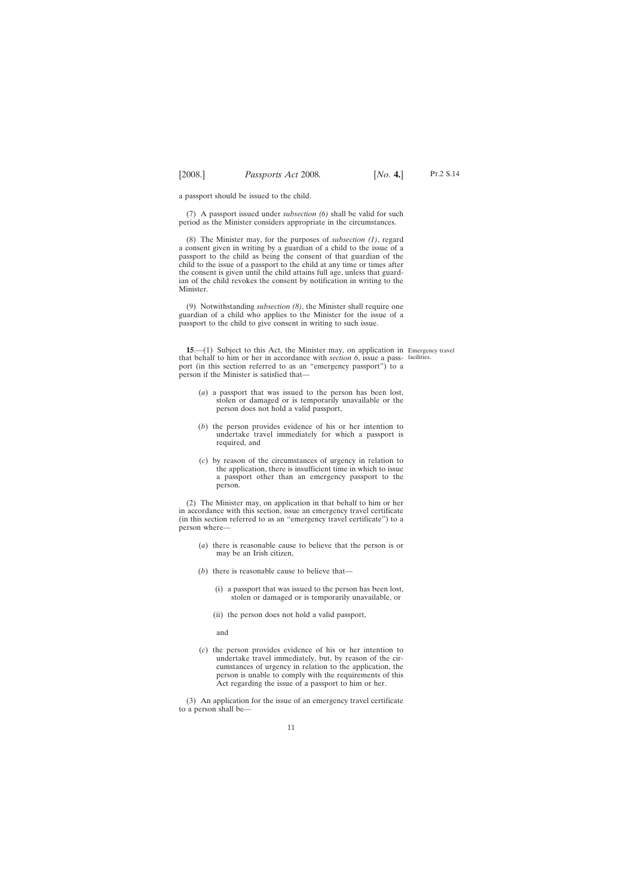<span id="page-10-0"></span>a passport should be issued to the child.

(7) A passport issued under *subsection (6)* shall be valid for such period as the Minister considers appropriate in the circumstances.

(8) The Minister may, for the purposes of *subsection (1)*, regard a consent given in writing by a guardian of a child to the issue of a passport to the child as being the consent of that guardian of the child to the issue of a passport to the child at any time or times after the consent is given until the child attains full age, unless that guardian of the child revokes the consent by notification in writing to the Minister.

(9) Notwithstanding *subsection (8)*, the Minister shall require one guardian of a child who applies to the Minister for the issue of a passport to the child to give consent in writing to such issue.

**15.—(1)** Subject to this Act, the Minister may, on application in Emergency travel that behalf to him or her in accordance with *section 6*, issue a pass-facilities.port (in this section referred to as an "emergency passport") to a person if the Minister is satisfied that—

- (*a*) a passport that was issued to the person has been lost, stolen or damaged or is temporarily unavailable or the person does not hold a valid passport,
- (*b*) the person provides evidence of his or her intention to undertake travel immediately for which a passport is required, and
- (*c*) by reason of the circumstances of urgency in relation to the application, there is insufficient time in which to issue a passport other than an emergency passport to the person.

(2) The Minister may, on application in that behalf to him or her in accordance with this section, issue an emergency travel certificate (in this section referred to as an "emergency travel certificate") to a person where—

- (*a*) there is reasonable cause to believe that the person is or may be an Irish citizen,
- (*b*) there is reasonable cause to believe that—
	- (i) a passport that was issued to the person has been lost, stolen or damaged or is temporarily unavailable, or
	- (ii) the person does not hold a valid passport,

and

(*c*) the person provides evidence of his or her intention to undertake travel immediately, but, by reason of the circumstances of urgency in relation to the application, the person is unable to comply with the requirements of this Act regarding the issue of a passport to him or her.

(3) An application for the issue of an emergency travel certificate to a person shall be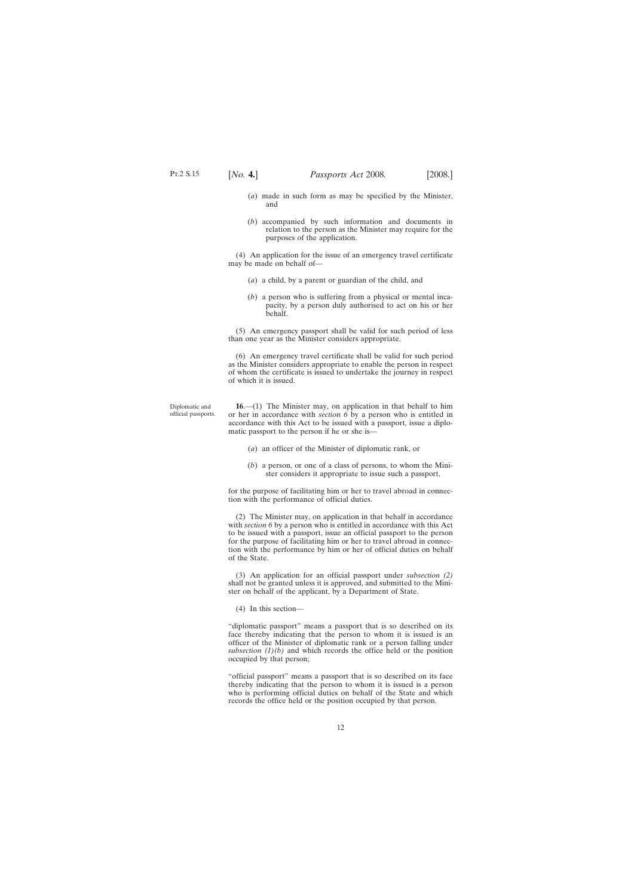Diplomatic and official passports.

- <span id="page-11-0"></span>(*a*) made in such form as may be specified by the Minister, and
- (*b*) accompanied by such information and documents in relation to the person as the Minister may require for the purposes of the application.

(4) An application for the issue of an emergency travel certificate may be made on behalf of—

- (*a*) a child, by a parent or guardian of the child, and
- (*b*) a person who is suffering from a physical or mental incapacity, by a person duly authorised to act on his or her behalf.

(5) An emergency passport shall be valid for such period of less than one year as the Minister considers appropriate.

(6) An emergency travel certificate shall be valid for such period as the Minister considers appropriate to enable the person in respect of whom the certificate is issued to undertake the journey in respect of which it is issued.

**16**.—(1) The Minister may, on application in that behalf to him or her in accordance with *section 6* by a person who is entitled in accordance with this Act to be issued with a passport, issue a diplomatic passport to the person if he or she is—

- (*a*) an officer of the Minister of diplomatic rank, or
- (*b*) a person, or one of a class of persons, to whom the Minister considers it appropriate to issue such a passport,

for the purpose of facilitating him or her to travel abroad in connection with the performance of official duties.

(2) The Minister may, on application in that behalf in accordance with *section 6* by a person who is entitled in accordance with this Act to be issued with a passport, issue an official passport to the person for the purpose of facilitating him or her to travel abroad in connection with the performance by him or her of official duties on behalf of the State.

(3) An application for an official passport under *subsection (2)* shall not be granted unless it is approved, and submitted to the Minister on behalf of the applicant, by a Department of State.

(4) In this section—

"diplomatic passport" means a passport that is so described on its face thereby indicating that the person to whom it is issued is an officer of the Minister of diplomatic rank or a person falling under subsection  $(1)(b)$  and which records the office held or the position occupied by that person;

"official passport" means a passport that is so described on its face thereby indicating that the person to whom it is issued is a person who is performing official duties on behalf of the State and which records the office held or the position occupied by that person.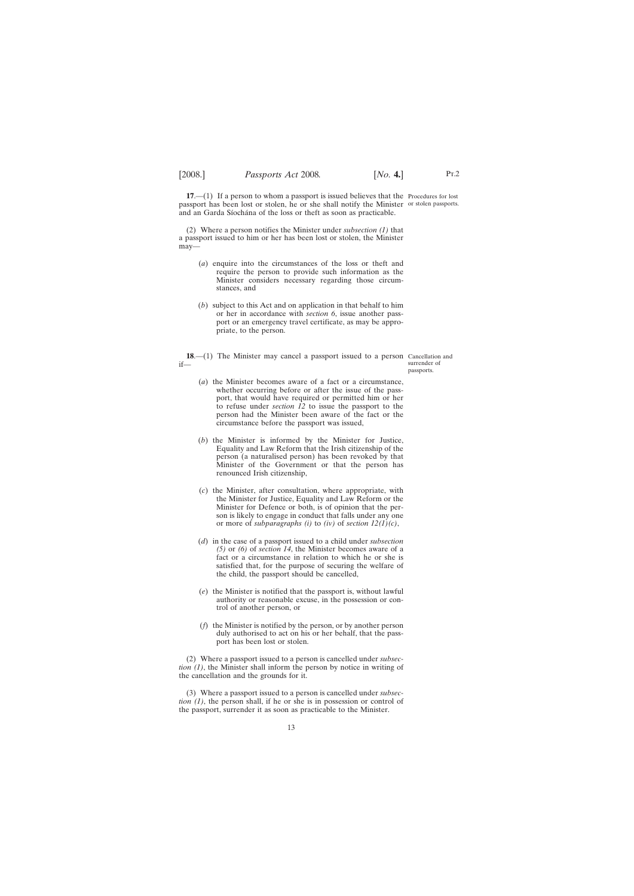<span id="page-12-0"></span>**17.**—(1) If a person to whom a passport is issued believes that the Procedures for lost passport has been lost or stolen, he or she shall notify the Minister or stolen passports. and an Garda Síochána of the loss or theft as soon as practicable.

(2) Where a person notifies the Minister under *subsection (1)* that a passport issued to him or her has been lost or stolen, the Minister may—

- (*a*) enquire into the circumstances of the loss or theft and require the person to provide such information as the Minister considers necessary regarding those circumstances, and
- (*b*) subject to this Act and on application in that behalf to him or her in accordance with *section 6*, issue another passport or an emergency travel certificate, as may be appropriate, to the person.
- **18.**—(1) The Minister may cancel a passport issued to a person Cancellation and if—

surrender of passports.

- (*a*) the Minister becomes aware of a fact or a circumstance, whether occurring before or after the issue of the passport, that would have required or permitted him or her to refuse under *section 12* to issue the passport to the person had the Minister been aware of the fact or the circumstance before the passport was issued,
- (*b*) the Minister is informed by the Minister for Justice, Equality and Law Reform that the Irish citizenship of the person (a naturalised person) has been revoked by that Minister of the Government or that the person has renounced Irish citizenship,
- (*c*) the Minister, after consultation, where appropriate, with the Minister for Justice, Equality and Law Reform or the Minister for Defence or both, is of opinion that the person is likely to engage in conduct that falls under any one or more of *subparagraphs (i)* to *(iv)* of *section 12(1)(c)*,
- (*d*) in the case of a passport issued to a child under *subsection (5)* or *(6)* of *section 14*, the Minister becomes aware of a fact or a circumstance in relation to which he or she is satisfied that, for the purpose of securing the welfare of the child, the passport should be cancelled,
- (*e*) the Minister is notified that the passport is, without lawful authority or reasonable excuse, in the possession or control of another person, or
- (*f*) the Minister is notified by the person, or by another person duly authorised to act on his or her behalf, that the passport has been lost or stolen.

(2) Where a passport issued to a person is cancelled under *subsection (1)*, the Minister shall inform the person by notice in writing of the cancellation and the grounds for it.

(3) Where a passport issued to a person is cancelled under *subsection (1)*, the person shall, if he or she is in possession or control of the passport, surrender it as soon as practicable to the Minister.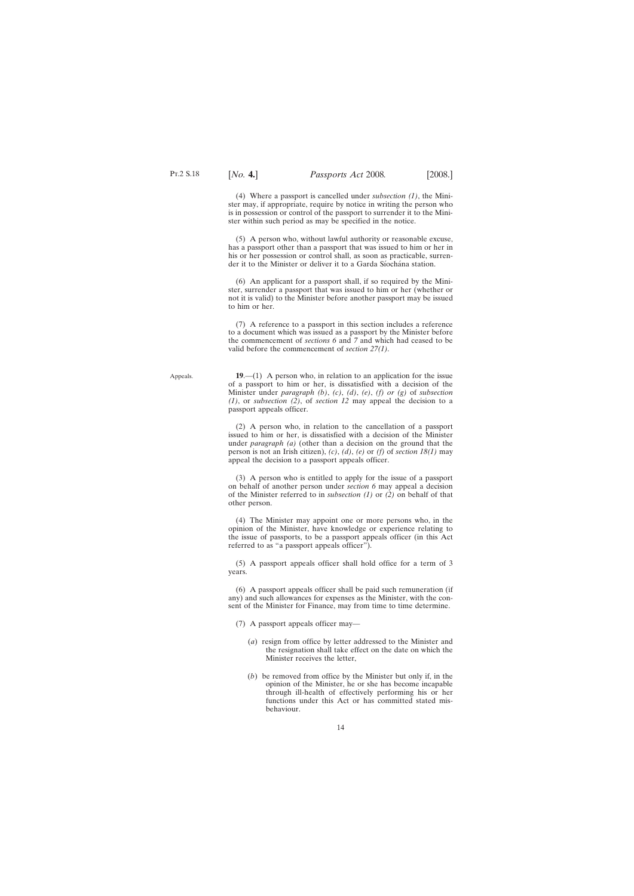<span id="page-13-0"></span>(4) Where a passport is cancelled under *subsection (1)*, the Minister may, if appropriate, require by notice in writing the person who is in possession or control of the passport to surrender it to the Minister within such period as may be specified in the notice.

(5) A person who, without lawful authority or reasonable excuse, has a passport other than a passport that was issued to him or her in his or her possession or control shall, as soon as practicable, surrender it to the Minister or deliver it to a Garda Síochána station.

(6) An applicant for a passport shall, if so required by the Minister, surrender a passport that was issued to him or her (whether or not it is valid) to the Minister before another passport may be issued to him or her.

(7) A reference to a passport in this section includes a reference to a document which was issued as a passport by the Minister before the commencement of *sections 6* and *7* and which had ceased to be valid before the commencement of *section 27(1)*.

**19**.—(1) A person who, in relation to an application for the issue of a passport to him or her, is dissatisfied with a decision of the Minister under *paragraph (b)*, *(c)*, *(d)*, *(e)*, *(f) or (g)* of *subsection (1)*, or *subsection (2)*, of *section 12* may appeal the decision to a passport appeals officer.

(2) A person who, in relation to the cancellation of a passport issued to him or her, is dissatisfied with a decision of the Minister under *paragraph (a)* (other than a decision on the ground that the person is not an Irish citizen), *(c)*, *(d)*, *(e)* or *(f)* of *section 18(1)* may appeal the decision to a passport appeals officer.

(3) A person who is entitled to apply for the issue of a passport on behalf of another person under *section 6* may appeal a decision of the Minister referred to in *subsection (1)* or *(2)* on behalf of that other person.

(4) The Minister may appoint one or more persons who, in the opinion of the Minister, have knowledge or experience relating to the issue of passports, to be a passport appeals officer (in this Act referred to as "a passport appeals officer").

(5) A passport appeals officer shall hold office for a term of 3 years.

(6) A passport appeals officer shall be paid such remuneration (if any) and such allowances for expenses as the Minister, with the consent of the Minister for Finance, may from time to time determine.

- (7) A passport appeals officer may—
	- (*a*) resign from office by letter addressed to the Minister and the resignation shall take effect on the date on which the Minister receives the letter,
	- (*b*) be removed from office by the Minister but only if, in the opinion of the Minister, he or she has become incapable through ill-health of effectively performing his or her functions under this Act or has committed stated misbehaviour.

Appeals.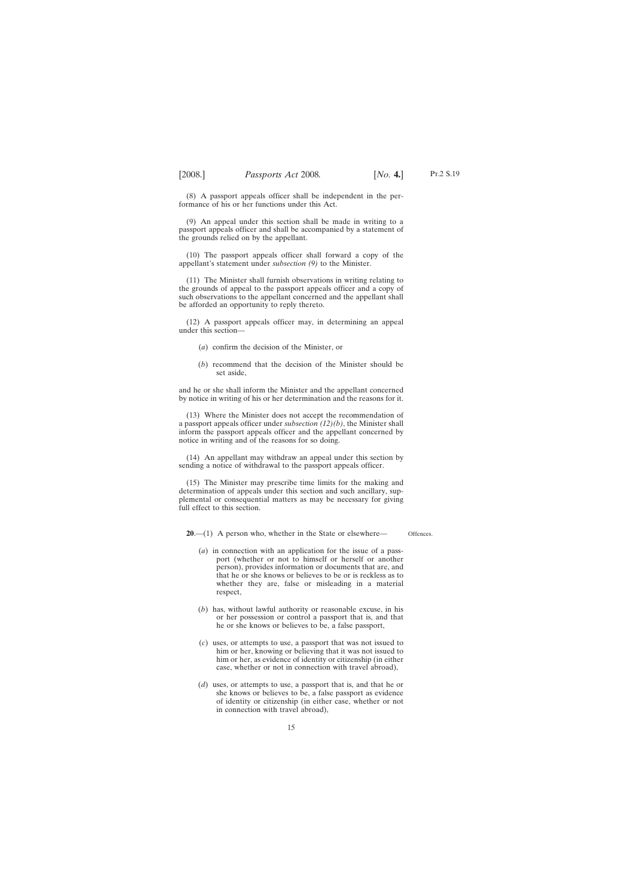Pt.2 S.19

<span id="page-14-0"></span>(8) A passport appeals officer shall be independent in the performance of his or her functions under this Act.

(9) An appeal under this section shall be made in writing to a passport appeals officer and shall be accompanied by a statement of the grounds relied on by the appellant.

(10) The passport appeals officer shall forward a copy of the appellant's statement under *subsection (9)* to the Minister.

(11) The Minister shall furnish observations in writing relating to the grounds of appeal to the passport appeals officer and a copy of such observations to the appellant concerned and the appellant shall be afforded an opportunity to reply thereto.

(12) A passport appeals officer may, in determining an appeal under this section—

- (*a*) confirm the decision of the Minister, or
- (*b*) recommend that the decision of the Minister should be set aside,

and he or she shall inform the Minister and the appellant concerned by notice in writing of his or her determination and the reasons for it.

(13) Where the Minister does not accept the recommendation of a passport appeals officer under *subsection (12)(b)*, the Minister shall inform the passport appeals officer and the appellant concerned by notice in writing and of the reasons for so doing.

(14) An appellant may withdraw an appeal under this section by sending a notice of withdrawal to the passport appeals officer.

(15) The Minister may prescribe time limits for the making and determination of appeals under this section and such ancillary, supplemental or consequential matters as may be necessary for giving full effect to this section.

**20**.—(1) A person who, whether in the State or elsewhere— Offences.

- (*a*) in connection with an application for the issue of a passport (whether or not to himself or herself or another person), provides information or documents that are, and that he or she knows or believes to be or is reckless as to whether they are, false or misleading in a material respect,
- (*b*) has, without lawful authority or reasonable excuse, in his or her possession or control a passport that is, and that he or she knows or believes to be, a false passport,
- (*c*) uses, or attempts to use, a passport that was not issued to him or her, knowing or believing that it was not issued to him or her, as evidence of identity or citizenship (in either case, whether or not in connection with travel abroad),
- (*d*) uses, or attempts to use, a passport that is, and that he or she knows or believes to be, a false passport as evidence of identity or citizenship (in either case, whether or not in connection with travel abroad),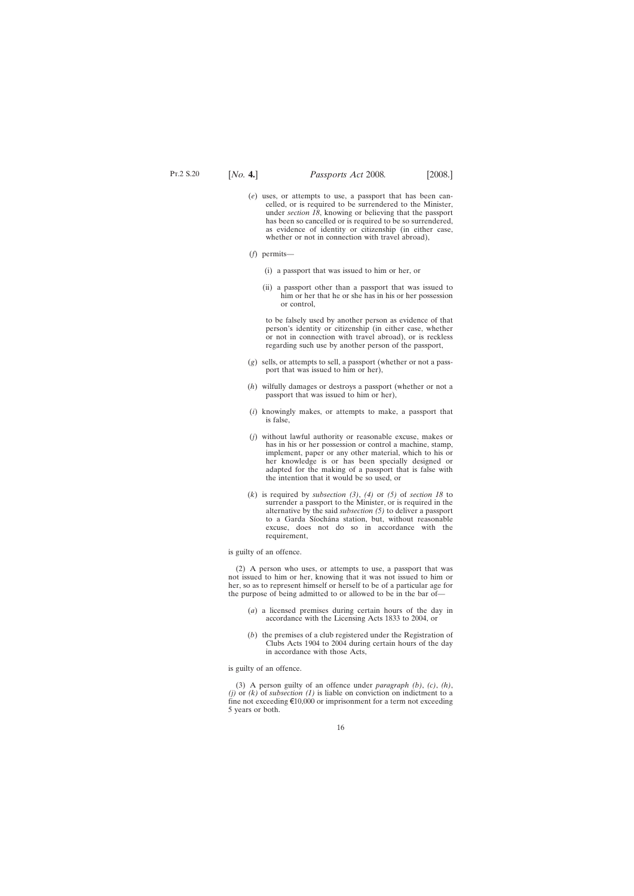- (*e*) uses, or attempts to use, a passport that has been cancelled, or is required to be surrendered to the Minister, under *section 18*, knowing or believing that the passport has been so cancelled or is required to be so surrendered, as evidence of identity or citizenship (in either case, whether or not in connection with travel abroad),
- (*f*) permits—
	- (i) a passport that was issued to him or her, or
	- (ii) a passport other than a passport that was issued to him or her that he or she has in his or her possession or control,

to be falsely used by another person as evidence of that person's identity or citizenship (in either case, whether or not in connection with travel abroad), or is reckless regarding such use by another person of the passport,

- (*g*) sells, or attempts to sell, a passport (whether or not a passport that was issued to him or her),
- (*h*) wilfully damages or destroys a passport (whether or not a passport that was issued to him or her),
- (*i*) knowingly makes, or attempts to make, a passport that is false,
- (*j*) without lawful authority or reasonable excuse, makes or has in his or her possession or control a machine, stamp, implement, paper or any other material, which to his or her knowledge is or has been specially designed or adapted for the making of a passport that is false with the intention that it would be so used, or
- (*k*) is required by *subsection (3)*, *(4)* or *(5)* of *section 18* to surrender a passport to the Minister, or is required in the alternative by the said *subsection (5)* to deliver a passport to a Garda Síochána station, but, without reasonable excuse, does not do so in accordance with the requirement,

is guilty of an offence.

(2) A person who uses, or attempts to use, a passport that was not issued to him or her, knowing that it was not issued to him or her, so as to represent himself or herself to be of a particular age for the purpose of being admitted to or allowed to be in the bar of—

- (*a*) a licensed premises during certain hours of the day in accordance with the Licensing Acts 1833 to 2004, or
- (*b*) the premises of a club registered under the Registration of Clubs Acts 1904 to 2004 during certain hours of the day in accordance with those Acts,

is guilty of an offence.

(3) A person guilty of an offence under *paragraph (b)*, *(c)*, *(h)*, *(j)* or *(k)* of *subsection (1)* is liable on conviction on indictment to a fine not exceeding  $\epsilon$ 10,000 or imprisonment for a term not exceeding 5 years or both.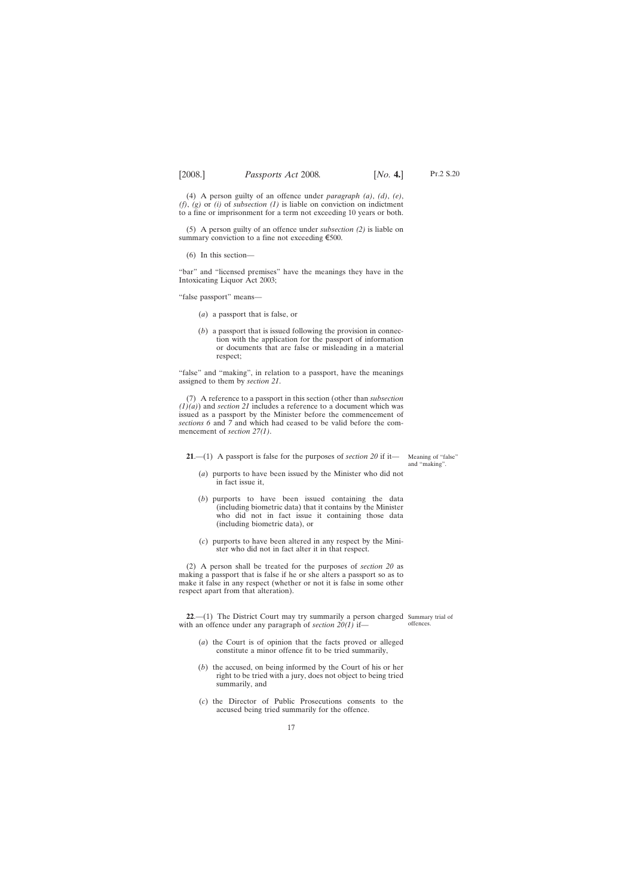<span id="page-16-0"></span>(4) A person guilty of an offence under *paragraph (a)*, *(d)*, *(e)*, *(f)*, *(g)* or *(i)* of *subsection (1)* is liable on conviction on indictment to a fine or imprisonment for a term not exceeding 10 years or both.

(5) A person guilty of an offence under *subsection (2)* is liable on summary conviction to a fine not exceeding  $\epsilon$ 500.

(6) In this section—

"bar" and "licensed premises" have the meanings they have in the Intoxicating Liquor Act 2003;

"false passport" means—

- (*a*) a passport that is false, or
- (*b*) a passport that is issued following the provision in connection with the application for the passport of information or documents that are false or misleading in a material respect;

"false" and "making", in relation to a passport, have the meanings assigned to them by *section 21*.

(7) A reference to a passport in this section (other than *subsection (1)(a)*) and *section 21* includes a reference to a document which was issued as a passport by the Minister before the commencement of *sections 6* and *7* and which had ceased to be valid before the commencement of *section 27(1)*.

**21**.—(1) A passport is false for the purposes of *section 20* if it—

Meaning of "false" and "making".

- (*a*) purports to have been issued by the Minister who did not in fact issue it,
- (*b*) purports to have been issued containing the data (including biometric data) that it contains by the Minister who did not in fact issue it containing those data (including biometric data), or
- (*c*) purports to have been altered in any respect by the Minister who did not in fact alter it in that respect.

(2) A person shall be treated for the purposes of *section 20* as making a passport that is false if he or she alters a passport so as to make it false in any respect (whether or not it is false in some other respect apart from that alteration).

**22.** (1) The District Court may try summarily a person charged Summary trial of with an offence under any paragraph of *section 20(1)* if offences.

- 
- (*a*) the Court is of opinion that the facts proved or alleged constitute a minor offence fit to be tried summarily,
- (*b*) the accused, on being informed by the Court of his or her right to be tried with a jury, does not object to being tried summarily, and
- (*c*) the Director of Public Prosecutions consents to the accused being tried summarily for the offence.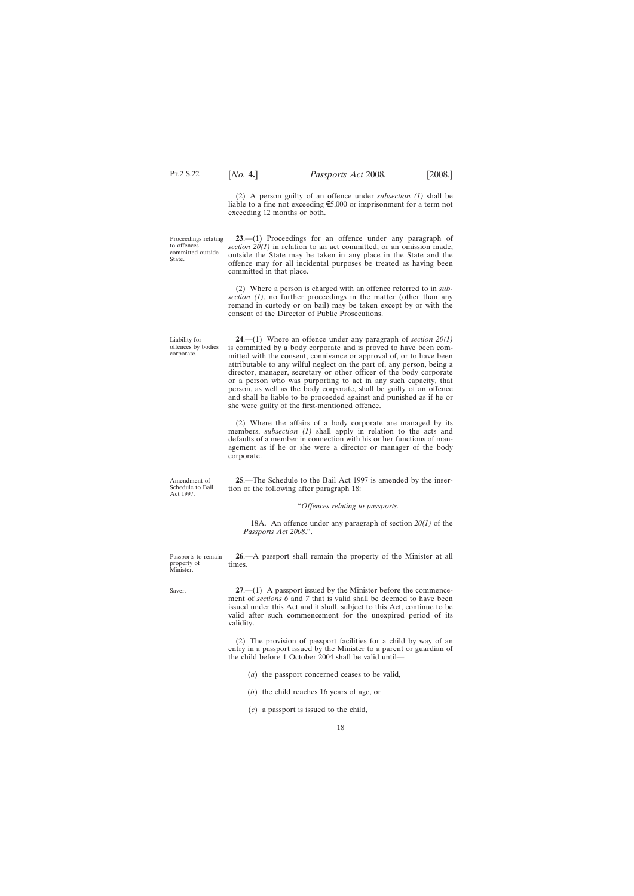<span id="page-17-0"></span>Pt.2 S.22

(2) A person guilty of an offence under *subsection (1)* shall be liable to a fine not exceeding  $\epsilon$ 5,000 or imprisonment for a term not exceeding 12 months or both.

Proceedings relating to offences committed outside State.

**23**.—(1) Proceedings for an offence under any paragraph of *section 20(1)* in relation to an act committed, or an omission made, outside the State may be taken in any place in the State and the offence may for all incidental purposes be treated as having been committed in that place.

(2) Where a person is charged with an offence referred to in *subsection (1)*, no further proceedings in the matter (other than any remand in custody or on bail) may be taken except by or with the consent of the Director of Public Prosecutions.

**24**.—(1) Where an offence under any paragraph of *section 20(1)* is committed by a body corporate and is proved to have been committed with the consent, connivance or approval of, or to have been attributable to any wilful neglect on the part of, any person, being a director, manager, secretary or other officer of the body corporate or a person who was purporting to act in any such capacity, that person, as well as the body corporate, shall be guilty of an offence and shall be liable to be proceeded against and punished as if he or she were guilty of the first-mentioned offence.

(2) Where the affairs of a body corporate are managed by its members, *subsection (1)* shall apply in relation to the acts and defaults of a member in connection with his or her functions of management as if he or she were a director or manager of the body corporate.

**25**.—The Schedule to the Bail Act 1997 is amended by the insertion of the following after paragraph 18:

### "*Offences relating to passports.*

18A. An offence under any paragraph of section *20(1)* of the *Passports Act 2008*.".

**26**.—A passport shall remain the property of the Minister at all times.

Saver.

**27**.—(1) A passport issued by the Minister before the commencement of *sections 6* and *7* that is valid shall be deemed to have been issued under this Act and it shall, subject to this Act, continue to be valid after such commencement for the unexpired period of its validity.

(2) The provision of passport facilities for a child by way of an entry in a passport issued by the Minister to a parent or guardian of the child before 1 October 2004 shall be valid until—

(*a*) the passport concerned ceases to be valid,

- (*b*) the child reaches 16 years of age, or
- (*c*) a passport is issued to the child,

Liability for offences by bodies corporate.

Amendment of Schedule to Bail Act 1997.

Passports to remain property of Minister.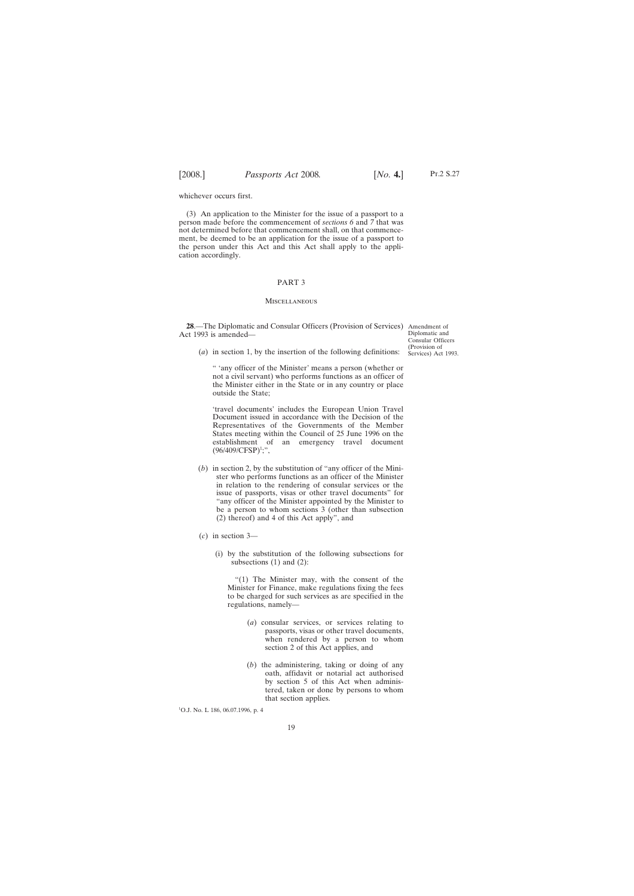<span id="page-18-0"></span>whichever occurs first.

(3) An application to the Minister for the issue of a passport to a person made before the commencement of *sections 6* and *7* that was not determined before that commencement shall, on that commencement, be deemed to be an application for the issue of a passport to the person under this Act and this Act shall apply to the application accordingly.

### PART 3

#### **MISCELLANEOUS**

**28**.—The Diplomatic and Consular Officers (Provision of Services) Amendment of Act 1993 is amended—

Diplomatic and Consular Officers (Provision of Services) Act 1993.

(*a*) in section 1, by the insertion of the following definitions:

" 'any officer of the Minister' means a person (whether or not a civil servant) who performs functions as an officer of the Minister either in the State or in any country or place outside the State;

'travel documents' includes the European Union Travel Document issued in accordance with the Decision of the Representatives of the Governments of the Member States meeting within the Council of 25 June 1996 on the establishment of an emergency travel document  $(96/409/CFSP)^{1}$ ;",

- (*b*) in section 2, by the substitution of "any officer of the Minister who performs functions as an officer of the Minister in relation to the rendering of consular services or the issue of passports, visas or other travel documents" for "any officer of the Minister appointed by the Minister to be a person to whom sections 3 (other than subsection (2) thereof) and 4 of this Act apply", and
- (*c*) in section 3—
	- (i) by the substitution of the following subsections for subsections  $(1)$  and  $(2)$ :

"(1) The Minister may, with the consent of the Minister for Finance, make regulations fixing the fees to be charged for such services as are specified in the regulations, namely—

- (*a*) consular services, or services relating to passports, visas or other travel documents, when rendered by a person to whom section 2 of this Act applies, and
- (*b*) the administering, taking or doing of any oath, affidavit or notarial act authorised by section 5 of this Act when administered, taken or done by persons to whom that section applies.

<sup>1</sup> O.J. No. L 186, 06.07.1996, p. 4